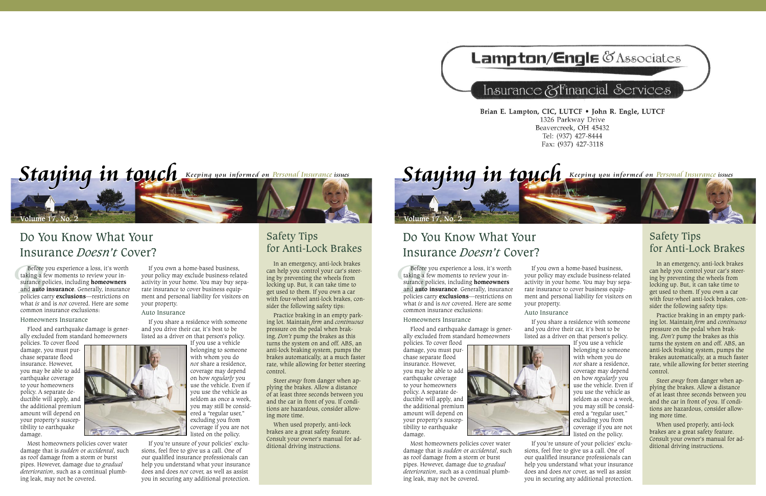# **Lampton/Engle & Associates**

# Insurance & Financial Services

Brian E. Lampton, CIC, LUTCF . John R. Engle, LUTCF 1326 Parkway Drive Beavercreek, OH 45432 Tel: (937) 427-8444 Fax: (937) 427-3118



## Do You Know What Your Insurance *Doesn't* Cover?

Before<br>taking a fi<br>surance p<br>and **auto**<br>policies ca<br>what *is* and Before you experience a loss, it's worth taking a few moments to review your insurance policies, including **homeowners** and **auto insurance**. Generally, insurance policies carry **exclusions**—restrictions on what *is* and is *not* covered. Here are some common insurance exclusions:

#### Homeowners Insurance

Flood and earthquake damage is generally excluded from standard homeowners

policies. To cover flood damage, you must purchase separate flood insurance. However, you may be able to add earthquake coverage to your homeowners policy. A separate deductible will apply, and the additional premium amount will depend on your property's susceptibility to earthquake damage.

Most homeowners policies cover water damage that is *sudden* or *accidental*, such as roof damage from a storm or burst pipes. However, damage due to *gradual deterioration*, such as a continual plumbing leak, may not be covered.

If you own a home-based business, your policy may exclude business-related activity in your home. You may buy separate insurance to cover business equipment and personal liability for visitors on your property.

#### Auto Insurance

If you share a residence with someone and you drive their car, it's best to be listed as a driver on that person's policy.

> If you use a vehicle belonging to someone with whom you do *not* share a residence, coverage may depend on how *regularly* you use the vehicle. Even if you use the vehicle as seldom as once a week, you may still be considered a "regular user," excluding you from coverage if you are not listed on the policy.

If you're unsure of your policies' exclusions, feel free to give us a call. One of our qualified insurance professionals can help you understand what your insurance does and does *not* cover, as well as assist you in securing any additional protection.

### Safety Tips for Anti-Lock Brakes

In an emergency, anti-lock brakes can help you control your car's steering by preventing the wheels from locking up. But, it can take time to get used to them. If you own a car with four-wheel anti-lock brakes, consider the following safety tips:

Practice braking in an empty parking lot. Maintain *firm* and *continuous* pressure on the pedal when braking. *Don't* pump the brakes as this turns the system on and off. ABS, an anti-lock braking system, pumps the brakes automatically, at a much faster rate, while allowing for better steering control.

Steer *away* from danger when applying the brakes. Allow a distance of at least three seconds between you and the car in front of you. If conditions are hazardous, consider allowing more time.

When used properly, anti-lock brakes are a great safety feature. Consult your owner's manual for additional driving instructions.